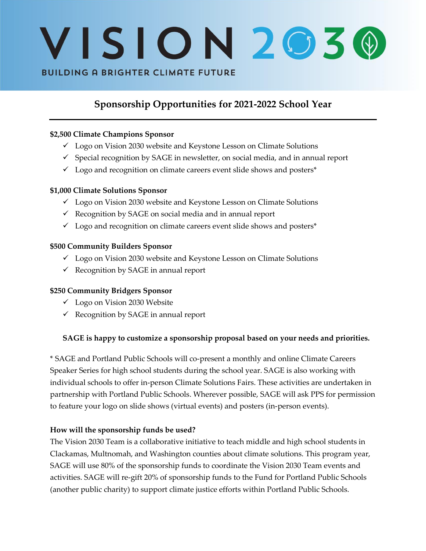# VISION2030 **BUILDING A BRIGHTER CLIMATE FUTURE**

## **Sponsorship Opportunities for 2021-2022 School Year**

#### **\$2,500 Climate Champions Sponsor**

- ✓ Logo on Vision 2030 website and Keystone Lesson on Climate Solutions
- $\checkmark$  Special recognition by SAGE in newsletter, on social media, and in annual report
- $\checkmark$  Logo and recognition on climate careers event slide shows and posters\*

#### **\$1,000 Climate Solutions Sponsor**

- ✓ Logo on Vision 2030 website and Keystone Lesson on Climate Solutions
- $\checkmark$  Recognition by SAGE on social media and in annual report
- $\checkmark$  Logo and recognition on climate careers event slide shows and posters\*

#### **\$500 Community Builders Sponsor**

- ✓ Logo on Vision 2030 website and Keystone Lesson on Climate Solutions
- $\checkmark$  Recognition by SAGE in annual report

## **\$250 Community Bridgers Sponsor**

- ✓ Logo on Vision 2030 Website
- $\checkmark$  Recognition by SAGE in annual report

## **SAGE is happy to customize a sponsorship proposal based on your needs and priorities.**

\* SAGE and Portland Public Schools will co-present a monthly and online Climate Careers Speaker Series for high school students during the school year. SAGE is also working with individual schools to offer in-person Climate Solutions Fairs. These activities are undertaken in partnership with Portland Public Schools. Wherever possible, SAGE will ask PPS for permission to feature your logo on slide shows (virtual events) and posters (in-person events).

#### **How will the sponsorship funds be used?**

The Vision 2030 Team is a collaborative initiative to teach middle and high school students in Clackamas, Multnomah, and Washington counties about climate solutions. This program year, SAGE will use 80% of the sponsorship funds to coordinate the Vision 2030 Team events and activities. SAGE will re-gift 20% of sponsorship funds to the Fund for Portland Public Schools (another public charity) to support climate justice efforts within Portland Public Schools.